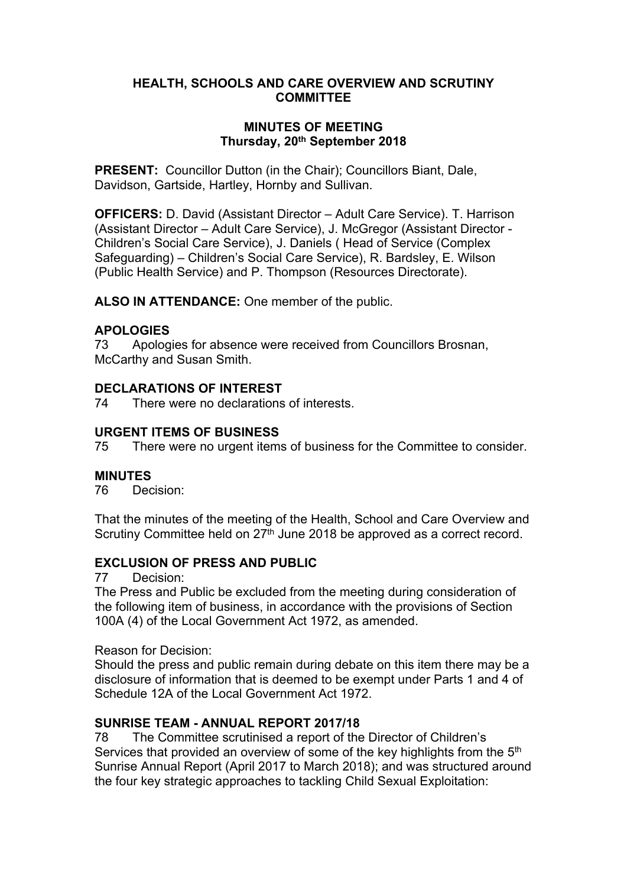## **HEALTH, SCHOOLS AND CARE OVERVIEW AND SCRUTINY COMMITTEE**

#### **MINUTES OF MEETING Thursday, 20th September 2018**

**PRESENT:** Councillor Dutton (in the Chair); Councillors Biant, Dale, Davidson, Gartside, Hartley, Hornby and Sullivan.

**OFFICERS:** D. David (Assistant Director – Adult Care Service). T. Harrison (Assistant Director – Adult Care Service), J. McGregor (Assistant Director - Children's Social Care Service), J. Daniels ( Head of Service (Complex Safeguarding) – Children's Social Care Service), R. Bardsley, E. Wilson (Public Health Service) and P. Thompson (Resources Directorate).

**ALSO IN ATTENDANCE:** One member of the public.

## **APOLOGIES**

73 Apologies for absence were received from Councillors Brosnan, McCarthy and Susan Smith.

#### **DECLARATIONS OF INTEREST**

74 There were no declarations of interests.

#### **URGENT ITEMS OF BUSINESS**

75 There were no urgent items of business for the Committee to consider.

# **MINUTES**<br>76 Dec

Decision:

That the minutes of the meeting of the Health, School and Care Overview and Scrutiny Committee held on 27<sup>th</sup> June 2018 be approved as a correct record.

## **EXCLUSION OF PRESS AND PUBLIC**

77 Decision:

The Press and Public be excluded from the meeting during consideration of the following item of business, in accordance with the provisions of Section 100A (4) of the Local Government Act 1972, as amended.

Reason for Decision:

Should the press and public remain during debate on this item there may be a disclosure of information that is deemed to be exempt under Parts 1 and 4 of Schedule 12A of the Local Government Act 1972.

# **SUNRISE TEAM - ANNUAL REPORT 2017/18**

78 The Committee scrutinised a report of the Director of Children's Services that provided an overview of some of the key highlights from the 5<sup>th</sup> Sunrise Annual Report (April 2017 to March 2018); and was structured around the four key strategic approaches to tackling Child Sexual Exploitation: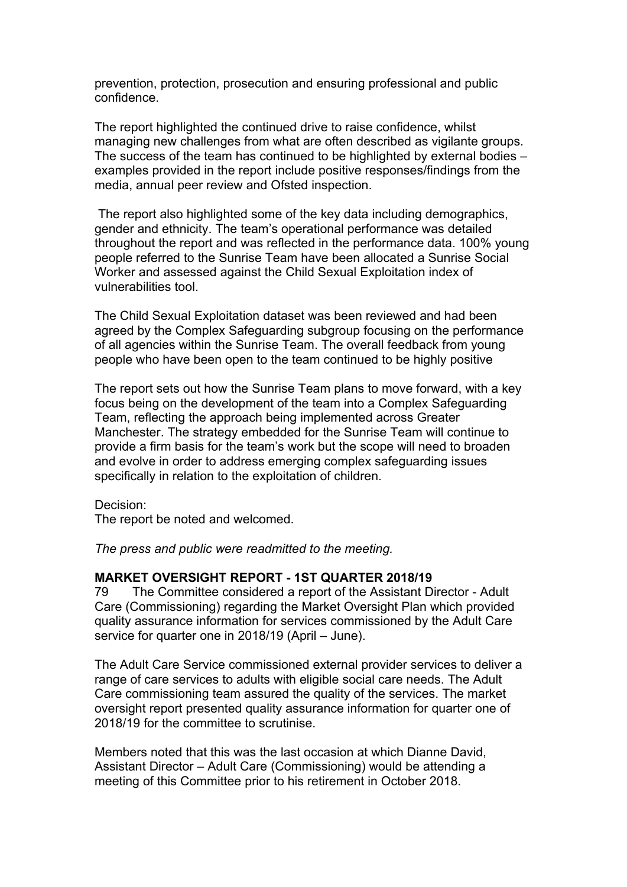prevention, protection, prosecution and ensuring professional and public confidence.

The report highlighted the continued drive to raise confidence, whilst managing new challenges from what are often described as vigilante groups. The success of the team has continued to be highlighted by external bodies – examples provided in the report include positive responses/findings from the media, annual peer review and Ofsted inspection.

The report also highlighted some of the key data including demographics, gender and ethnicity. The team's operational performance was detailed throughout the report and was reflected in the performance data. 100% young people referred to the Sunrise Team have been allocated a Sunrise Social Worker and assessed against the Child Sexual Exploitation index of vulnerabilities tool.

The Child Sexual Exploitation dataset was been reviewed and had been agreed by the Complex Safeguarding subgroup focusing on the performance of all agencies within the Sunrise Team. The overall feedback from young people who have been open to the team continued to be highly positive

The report sets out how the Sunrise Team plans to move forward, with a key focus being on the development of the team into a Complex Safeguarding Team, reflecting the approach being implemented across Greater Manchester. The strategy embedded for the Sunrise Team will continue to provide a firm basis for the team's work but the scope will need to broaden and evolve in order to address emerging complex safeguarding issues specifically in relation to the exploitation of children.

Decision: The report be noted and welcomed.

*The press and public were readmitted to the meeting.*

#### **MARKET OVERSIGHT REPORT - 1ST QUARTER 2018/19**

79 The Committee considered a report of the Assistant Director - Adult Care (Commissioning) regarding the Market Oversight Plan which provided quality assurance information for services commissioned by the Adult Care service for quarter one in 2018/19 (April – June).

The Adult Care Service commissioned external provider services to deliver a range of care services to adults with eligible social care needs. The Adult Care commissioning team assured the quality of the services. The market oversight report presented quality assurance information for quarter one of 2018/19 for the committee to scrutinise.

Members noted that this was the last occasion at which Dianne David, Assistant Director – Adult Care (Commissioning) would be attending a meeting of this Committee prior to his retirement in October 2018.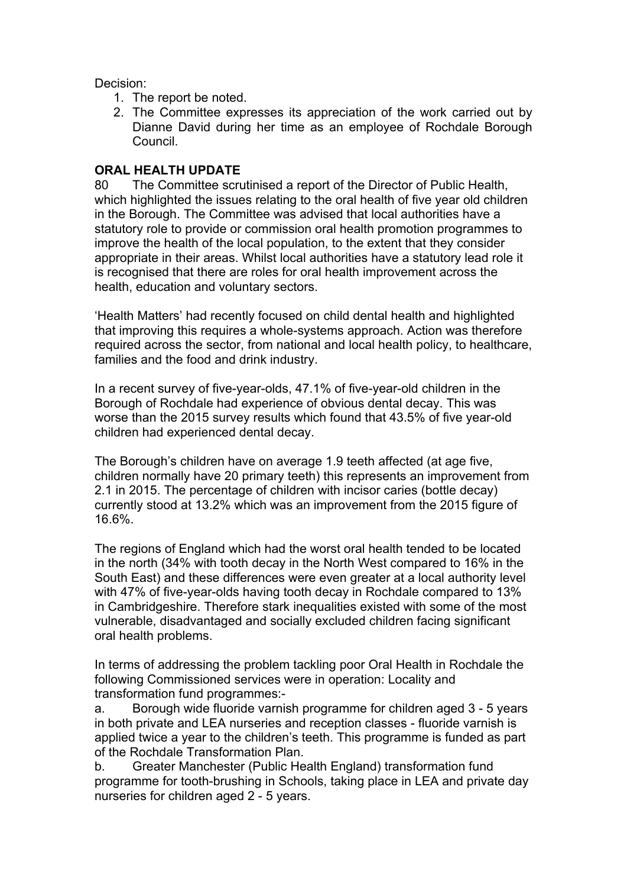Decision:

- 1. The report be noted.
- 2. The Committee expresses its appreciation of the work carried out by Dianne David during her time as an employee of Rochdale Borough Council.

# **ORAL HEALTH UPDATE**

80 The Committee scrutinised a report of the Director of Public Health, which highlighted the issues relating to the oral health of five year old children in the Borough. The Committee was advised that local authorities have a statutory role to provide or commission oral health promotion programmes to improve the health of the local population, to the extent that they consider appropriate in their areas. Whilst local authorities have a statutory lead role it is recognised that there are roles for oral health improvement across the health, education and voluntary sectors.

'Health Matters' had recently focused on child dental health and highlighted that improving this requires a whole-systems approach. Action was therefore required across the sector, from national and local health policy, to healthcare, families and the food and drink industry.

In a recent survey of five-year-olds, 47.1% of five-year-old children in the Borough of Rochdale had experience of obvious dental decay. This was worse than the 2015 survey results which found that 43.5% of five year-old children had experienced dental decay.

The Borough's children have on average 1.9 teeth affected (at age five, children normally have 20 primary teeth) this represents an improvement from 2.1 in 2015. The percentage of children with incisor caries (bottle decay) currently stood at 13.2% which was an improvement from the 2015 figure of 16.6%.

The regions of England which had the worst oral health tended to be located in the north (34% with tooth decay in the North West compared to 16% in the South East) and these differences were even greater at a local authority level with 47% of five-year-olds having tooth decay in Rochdale compared to 13% in Cambridgeshire. Therefore stark inequalities existed with some of the most vulnerable, disadvantaged and socially excluded children facing significant oral health problems.

In terms of addressing the problem tackling poor Oral Health in Rochdale the following Commissioned services were in operation: Locality and transformation fund programmes:-

a. Borough wide fluoride varnish programme for children aged 3 - 5 years in both private and LEA nurseries and reception classes - fluoride varnish is applied twice a year to the children's teeth. This programme is funded as part of the Rochdale Transformation Plan.

b. Greater Manchester (Public Health England) transformation fund programme for tooth-brushing in Schools, taking place in LEA and private day nurseries for children aged 2 - 5 years.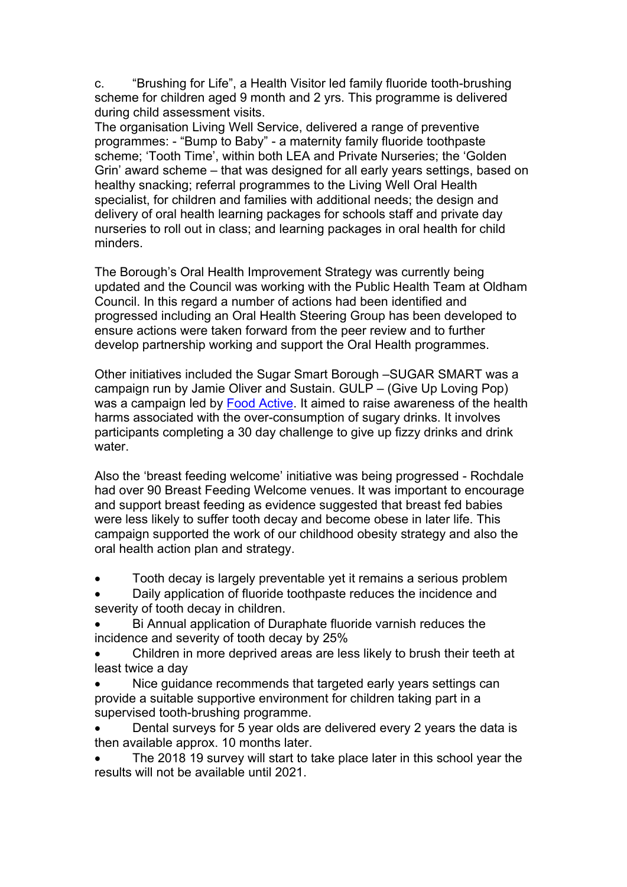c. "Brushing for Life", a Health Visitor led family fluoride tooth-brushing scheme for children aged 9 month and 2 yrs. This programme is delivered during child assessment visits.

The organisation Living Well Service, delivered a range of preventive programmes: - "Bump to Baby" - a maternity family fluoride toothpaste scheme; 'Tooth Time', within both LEA and Private Nurseries; the 'Golden Grin' award scheme – that was designed for all early years settings, based on healthy snacking; referral programmes to the Living Well Oral Health specialist, for children and families with additional needs; the design and delivery of oral health learning packages for schools staff and private day nurseries to roll out in class; and learning packages in oral health for child minders.

The Borough's Oral Health Improvement Strategy was currently being updated and the Council was working with the Public Health Team at Oldham Council. In this regard a number of actions had been identified and progressed including an Oral Health Steering Group has been developed to ensure actions were taken forward from the peer review and to further develop partnership working and support the Oral Health programmes.

Other initiatives included the Sugar Smart Borough –SUGAR SMART was a campaign run by Jamie Oliver and Sustain. GULP – (Give Up Loving Pop) was a campaign led by Food [Active.](http://www.foodactive.org.uk/) It aimed to raise awareness of the health harms associated with the over-consumption of sugary drinks. It involves participants completing a 30 day challenge to give up fizzy drinks and drink water.

Also the 'breast feeding welcome' initiative was being progressed - Rochdale had over 90 Breast Feeding Welcome venues. It was important to encourage and support breast feeding as evidence suggested that breast fed babies were less likely to suffer tooth decay and become obese in later life. This campaign supported the work of our childhood obesity strategy and also the oral health action plan and strategy.

- Tooth decay is largely preventable yet it remains a serious problem
- Daily application of fluoride toothpaste reduces the incidence and severity of tooth decay in children.
- Bi Annual application of Duraphate fluoride varnish reduces the incidence and severity of tooth decay by 25%
- Children in more deprived areas are less likely to brush their teeth at least twice a day
- Nice guidance recommends that targeted early years settings can provide a suitable supportive environment for children taking part in a supervised tooth-brushing programme.
- Dental surveys for 5 year olds are delivered every 2 years the data is then available approx. 10 months later.
- The 2018 19 survey will start to take place later in this school year the results will not be available until 2021.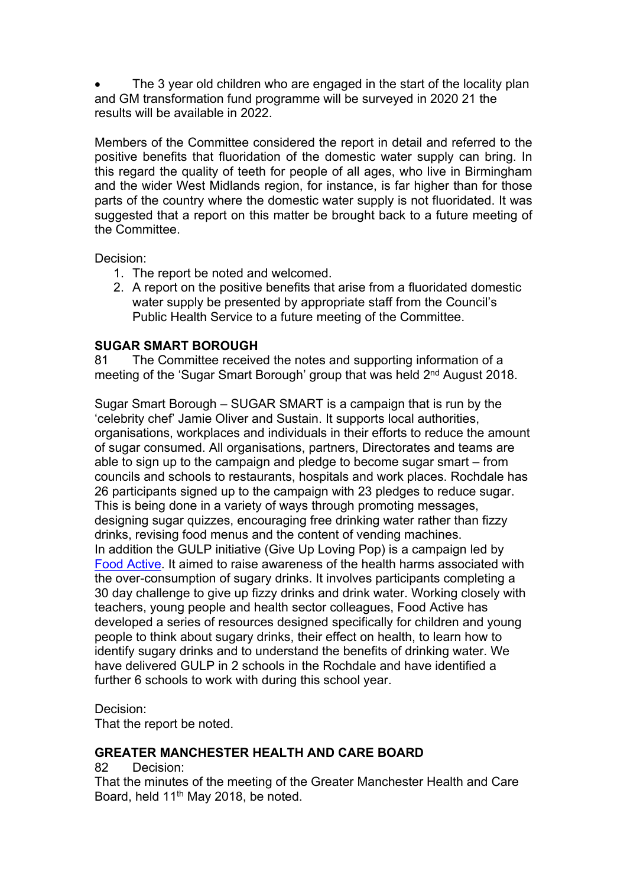The 3 year old children who are engaged in the start of the locality plan and GM transformation fund programme will be surveyed in 2020 21 the results will be available in 2022.

Members of the Committee considered the report in detail and referred to the positive benefits that fluoridation of the domestic water supply can bring. In this regard the quality of teeth for people of all ages, who live in Birmingham and the wider West Midlands region, for instance, is far higher than for those parts of the country where the domestic water supply is not fluoridated. It was suggested that a report on this matter be brought back to a future meeting of the Committee.

Decision:

- 1. The report be noted and welcomed.
- 2. A report on the positive benefits that arise from a fluoridated domestic water supply be presented by appropriate staff from the Council's Public Health Service to a future meeting of the Committee.

# **SUGAR SMART BOROUGH**

81 The Committee received the notes and supporting information of a meeting of the 'Sugar Smart Borough' group that was held 2<sup>nd</sup> August 2018.

Sugar Smart Borough – SUGAR SMART is a campaign that is run by the 'celebrity chef' Jamie Oliver and Sustain. It supports local authorities, organisations, workplaces and individuals in their efforts to reduce the amount of sugar consumed. All organisations, partners, Directorates and teams are able to sign up to the campaign and pledge to become sugar smart – from councils and schools to restaurants, hospitals and work places. Rochdale has 26 participants signed up to the campaign with 23 pledges to reduce sugar. This is being done in a variety of ways through promoting messages, designing sugar quizzes, encouraging free drinking water rather than fizzy drinks, revising food menus and the content of vending machines. In addition the GULP initiative (Give Up Loving Pop) is a campaign led by Food [Active](http://www.foodactive.org.uk/). It aimed to raise awareness of the health harms associated with the over-consumption of sugary drinks. It involves participants completing a 30 day challenge to give up fizzy drinks and drink water. Working closely with teachers, young people and health sector colleagues, Food Active has developed a series of resources designed specifically for children and young people to think about sugary drinks, their effect on health, to learn how to identify sugary drinks and to understand the benefits of drinking water. We have delivered GULP in 2 schools in the Rochdale and have identified a further 6 schools to work with during this school year.

Decision:

That the report be noted.

## **GREATER MANCHESTER HEALTH AND CARE BOARD**

#### 82 Decision:

That the minutes of the meeting of the Greater Manchester Health and Care Board, held 11<sup>th</sup> May 2018, be noted.